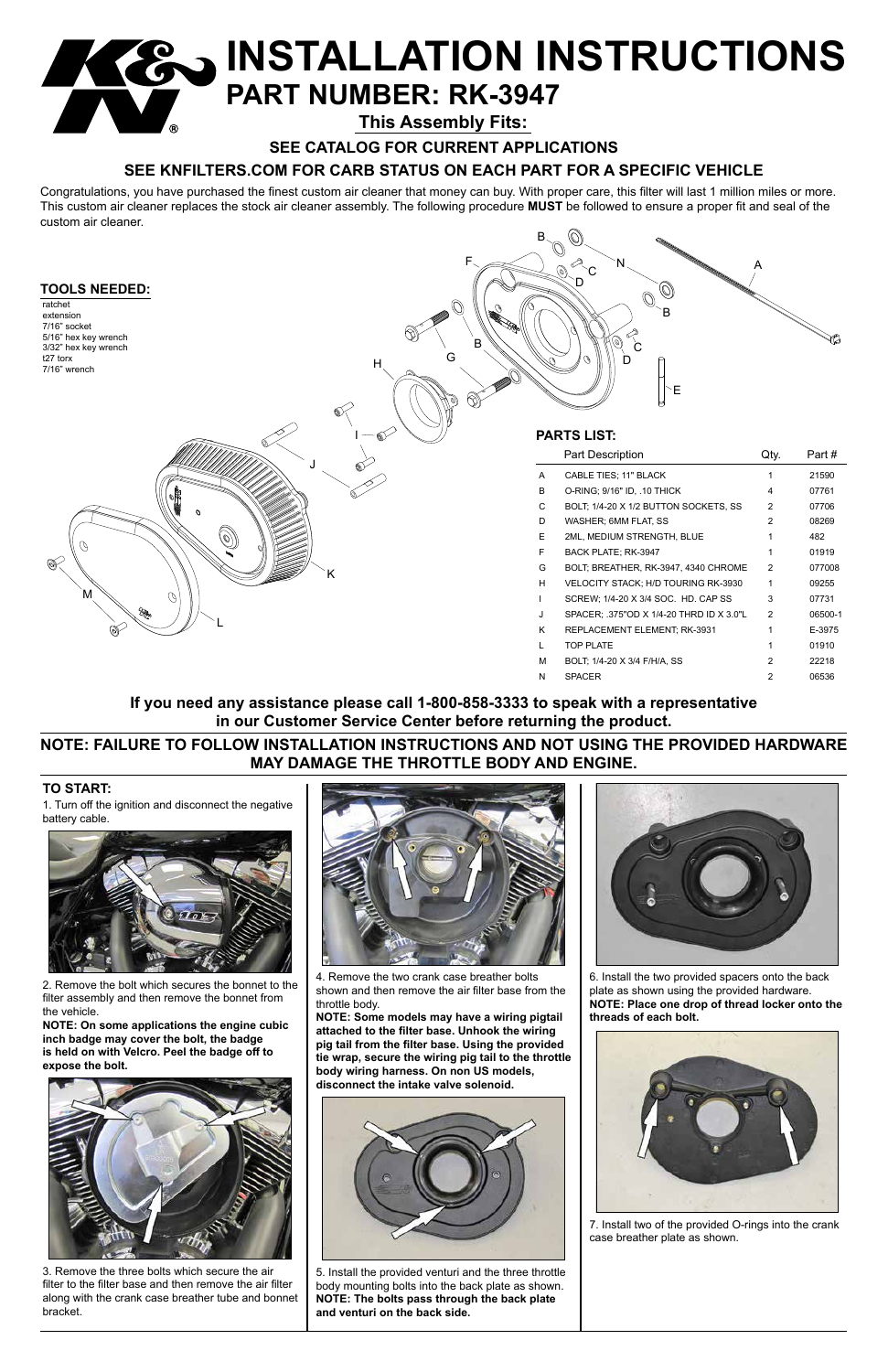

M BOLT; 1/4-20 X 3/4 F/H/A, SS 2 22218 N SPACER 2 06536

### **TO START:**

1. Turn off the ignition and disconnect the negative battery cable.



2. Remove the bolt which secures the bonnet to the filter assembly and then remove the bonnet from

the vehicle.

**NOTE: On some applications the engine cubic inch badge may cover the bolt, the badge is held on with Velcro. Peel the badge off to expose the bolt.**

# **INSTALLATION INSTRUCTIONS PART NUMBER: RK-3947**



3. Remove the three bolts which secure the air filter to the filter base and then remove the air filter along with the crank case breather tube and bonnet bracket.



4. Remove the two crank case breather bolts shown and then remove the air filter base from the throttle body.

**NOTE: Some models may have a wiring pigtail attached to the filter base. Unhook the wiring pig tail from the filter base. Using the provided tie wrap, secure the wiring pig tail to the throttle body wiring harness. On non US models, disconnect the intake valve solenoid.**



5. Install the provided venturi and the three throttle body mounting bolts into the back plate as shown. **NOTE: The bolts pass through the back plate and venturi on the back side.**



6. Install the two provided spacers onto the back plate as shown using the provided hardware. **NOTE: Place one drop of thread locker onto the** 

**threads of each bolt.**



7. Install two of the provided O-rings into the crank case breather plate as shown.

Congratulations, you have purchased the finest custom air cleaner that money can buy. With proper care, this filter will last 1 million miles or more. This custom air cleaner replaces the stock air cleaner assembly. The following procedure **MUST** be followed to ensure a proper fit and seal of the custom air cleaner.

**SEE CATALOG FOR CURRENT APPLICATIONS**

# **SEE KNFILTERS.COM FOR CARB STATUS ON EACH PART FOR A SPECIFIC VEHICLE**

**This Assembly Fits:**

# **NOTE: FAILURE TO FOLLOW INSTALLATION INSTRUCTIONS AND NOT USING THE PROVIDED HARDWARE MAY DAMAGE THE THROTTLE BODY AND ENGINE.**

## **If you need any assistance please call 1-800-858-3333 to speak with a representative in our Customer Service Center before returning the product.**